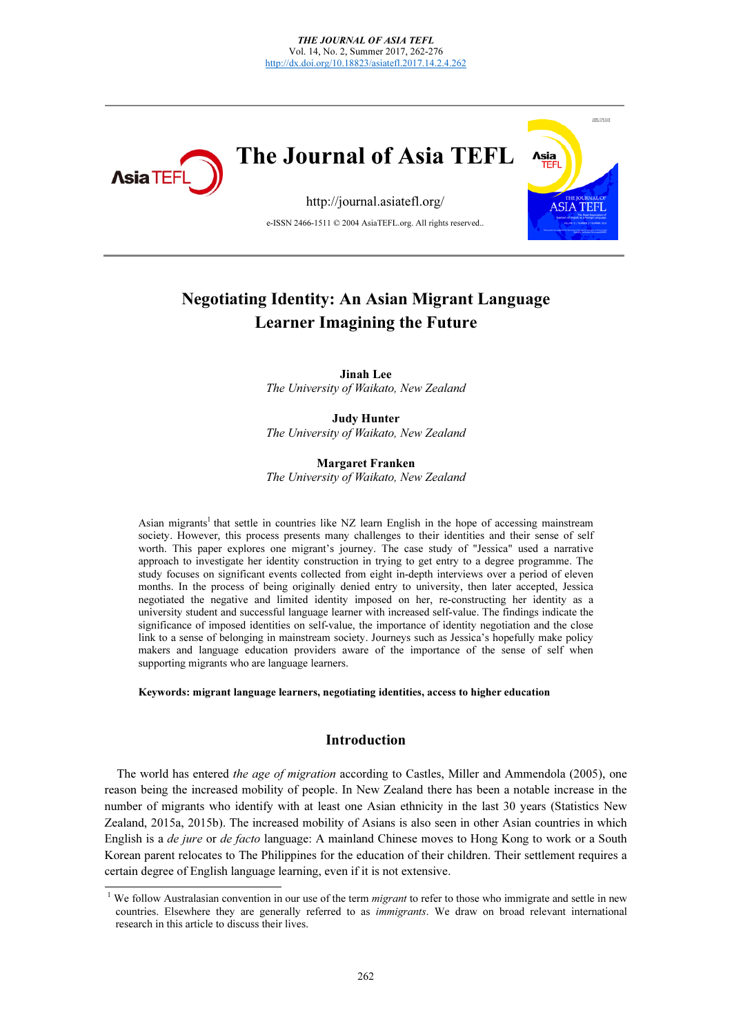

# Negotiating Identity: An Asian Migrant Language Learner Imagining the Future

Jinah Lee The University of Waikato, New Zealand

Judy Hunter The University of Waikato, New Zealand

Margaret Franken The University of Waikato, New Zealand

Asian migrants<sup>1</sup> that settle in countries like NZ learn English in the hope of accessing mainstream society. However, this process presents many challenges to their identities and their sense of self worth. This paper explores one migrant's journey. The case study of "Jessica" used a narrative approach to investigate her identity construction in trying to get entry to a degree programme. The study focuses on significant events collected from eight in-depth interviews over a period of eleven months. In the process of being originally denied entry to university, then later accepted, Jessica negotiated the negative and limited identity imposed on her, re-constructing her identity as a university student and successful language learner with increased self-value. The findings indicate the significance of imposed identities on self-value, the importance of identity negotiation and the close link to a sense of belonging in mainstream society. Journeys such as Jessica's hopefully make policy makers and language education providers aware of the importance of the sense of self when supporting migrants who are language learners.

Keywords: migrant language learners, negotiating identities, access to higher education

# Introduction

The world has entered the age of migration according to Castles, Miller and Ammendola (2005), one reason being the increased mobility of people. In New Zealand there has been a notable increase in the number of migrants who identify with at least one Asian ethnicity in the last 30 years (Statistics New Zealand, 2015a, 2015b). The increased mobility of Asians is also seen in other Asian countries in which English is a de jure or de facto language: A mainland Chinese moves to Hong Kong to work or a South Korean parent relocates to The Philippines for the education of their children. Their settlement requires a certain degree of English language learning, even if it is not extensive.

<sup>1</sup> <sup>1</sup> We follow Australasian convention in our use of the term *migrant* to refer to those who immigrate and settle in new countries. Elsewhere, they are generally referred to as *immigrants*. We draw on broad relevant inte countries. Elsewhere they are generally referred to as immigrants. We draw on broad relevant international research in this article to discuss their lives.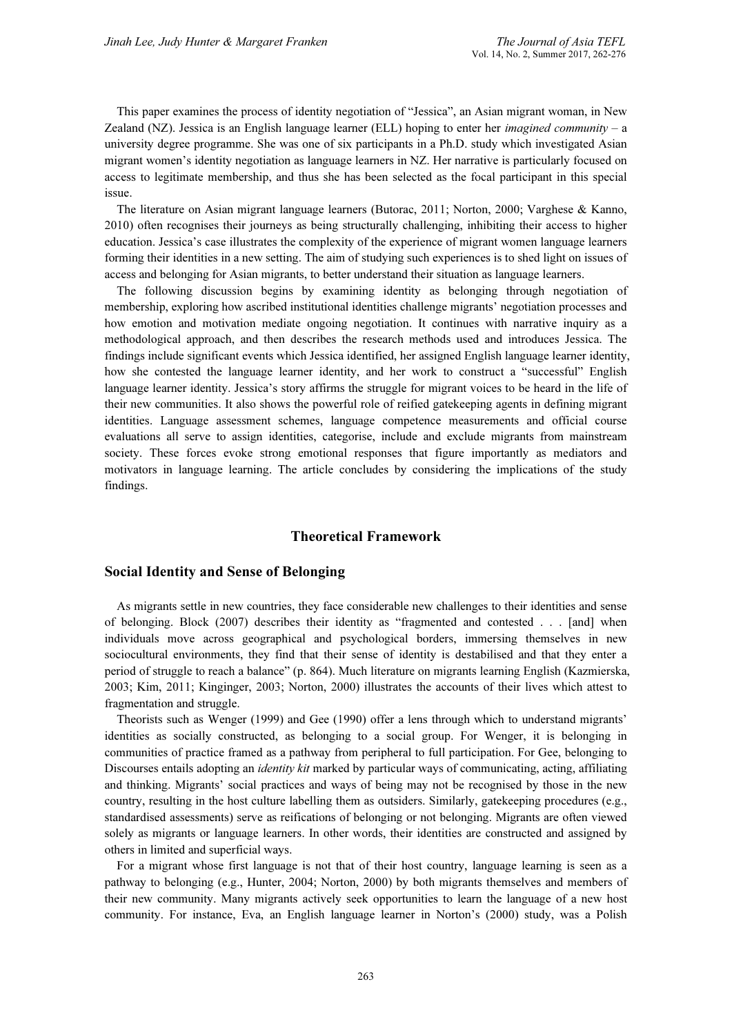This paper examines the process of identity negotiation of "Jessica", an Asian migrant woman, in New Zealand (NZ). Jessica is an English language learner (ELL) hoping to enter her *imagined community* – a university degree programme. She was one of six participants in a Ph.D. study which investigated Asian migrant women's identity negotiation as language learners in NZ. Her narrative is particularly focused on access to legitimate membership, and thus she has been selected as the focal participant in this special issue.

The literature on Asian migrant language learners (Butorac, 2011; Norton, 2000; Varghese & Kanno, 2010) often recognises their journeys as being structurally challenging, inhibiting their access to higher education. Jessica's case illustrates the complexity of the experience of migrant women language learners forming their identities in a new setting. The aim of studying such experiences is to shed light on issues of access and belonging for Asian migrants, to better understand their situation as language learners.

The following discussion begins by examining identity as belonging through negotiation of membership, exploring how ascribed institutional identities challenge migrants' negotiation processes and how emotion and motivation mediate ongoing negotiation. It continues with narrative inquiry as a methodological approach, and then describes the research methods used and introduces Jessica. The findings include significant events which Jessica identified, her assigned English language learner identity, how she contested the language learner identity, and her work to construct a "successful" English language learner identity. Jessica's story affirms the struggle for migrant voices to be heard in the life of their new communities. It also shows the powerful role of reified gatekeeping agents in defining migrant identities. Language assessment schemes, language competence measurements and official course evaluations all serve to assign identities, categorise, include and exclude migrants from mainstream society. These forces evoke strong emotional responses that figure importantly as mediators and motivators in language learning. The article concludes by considering the implications of the study findings.

# Theoretical Framework

# Social Identity and Sense of Belonging

As migrants settle in new countries, they face considerable new challenges to their identities and sense of belonging. Block (2007) describes their identity as "fragmented and contested . . . [and] when individuals move across geographical and psychological borders, immersing themselves in new sociocultural environments, they find that their sense of identity is destabilised and that they enter a period of struggle to reach a balance" (p. 864). Much literature on migrants learning English (Kazmierska, 2003; Kim, 2011; Kinginger, 2003; Norton, 2000) illustrates the accounts of their lives which attest to fragmentation and struggle.

Theorists such as Wenger (1999) and Gee (1990) offer a lens through which to understand migrants' identities as socially constructed, as belonging to a social group. For Wenger, it is belonging in communities of practice framed as a pathway from peripheral to full participation. For Gee, belonging to Discourses entails adopting an *identity kit* marked by particular ways of communicating, acting, affiliating and thinking. Migrants' social practices and ways of being may not be recognised by those in the new country, resulting in the host culture labelling them as outsiders. Similarly, gatekeeping procedures (e.g., standardised assessments) serve as reifications of belonging or not belonging. Migrants are often viewed solely as migrants or language learners. In other words, their identities are constructed and assigned by others in limited and superficial ways.

For a migrant whose first language is not that of their host country, language learning is seen as a pathway to belonging (e.g., Hunter, 2004; Norton, 2000) by both migrants themselves and members of their new community. Many migrants actively seek opportunities to learn the language of a new host community. For instance, Eva, an English language learner in Norton's (2000) study, was a Polish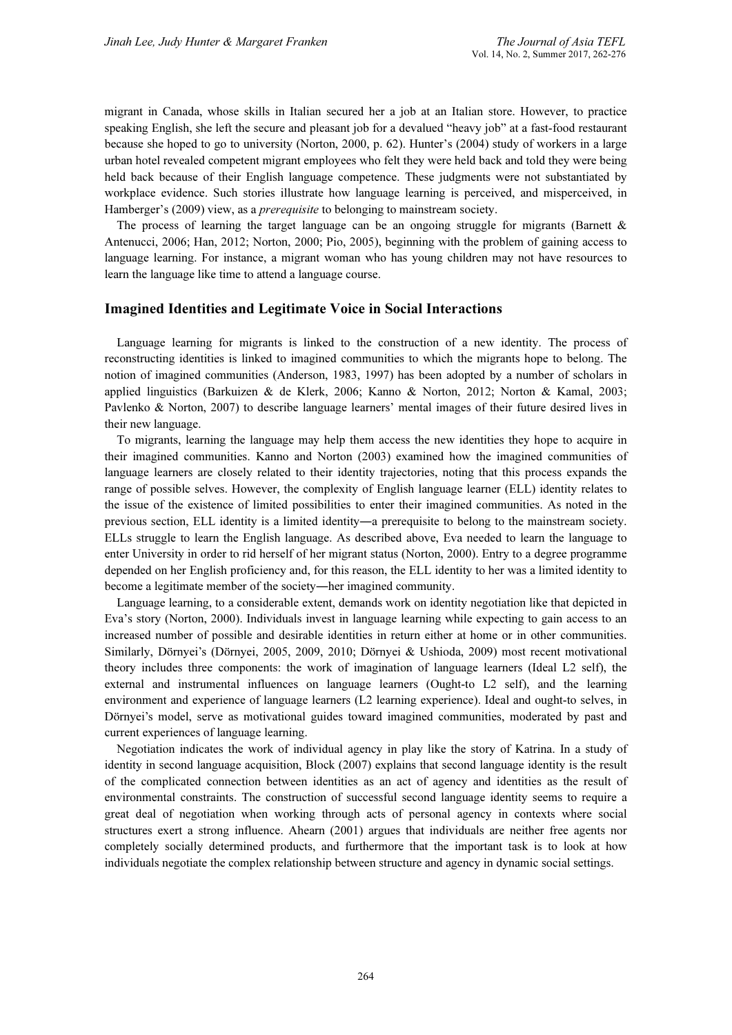migrant in Canada, whose skills in Italian secured her a job at an Italian store. However, to practice speaking English, she left the secure and pleasant job for a devalued "heavy job" at a fast-food restaurant because she hoped to go to university (Norton, 2000, p. 62). Hunter's (2004) study of workers in a large urban hotel revealed competent migrant employees who felt they were held back and told they were being held back because of their English language competence. These judgments were not substantiated by workplace evidence. Such stories illustrate how language learning is perceived, and misperceived, in Hamberger's (2009) view, as a *prerequisite* to belonging to mainstream society.

The process of learning the target language can be an ongoing struggle for migrants (Barnett  $\&$ Antenucci, 2006; Han, 2012; Norton, 2000; Pio, 2005), beginning with the problem of gaining access to language learning. For instance, a migrant woman who has young children may not have resources to learn the language like time to attend a language course.

#### Imagined Identities and Legitimate Voice in Social Interactions

Language learning for migrants is linked to the construction of a new identity. The process of reconstructing identities is linked to imagined communities to which the migrants hope to belong. The notion of imagined communities (Anderson, 1983, 1997) has been adopted by a number of scholars in applied linguistics (Barkuizen & de Klerk, 2006; Kanno & Norton, 2012; Norton & Kamal, 2003; Pavlenko & Norton, 2007) to describe language learners' mental images of their future desired lives in their new language.

To migrants, learning the language may help them access the new identities they hope to acquire in their imagined communities. Kanno and Norton (2003) examined how the imagined communities of language learners are closely related to their identity trajectories, noting that this process expands the range of possible selves. However, the complexity of English language learner (ELL) identity relates to the issue of the existence of limited possibilities to enter their imagined communities. As noted in the previous section, ELL identity is a limited identity―a prerequisite to belong to the mainstream society. ELLs struggle to learn the English language. As described above, Eva needed to learn the language to enter University in order to rid herself of her migrant status (Norton, 2000). Entry to a degree programme depended on her English proficiency and, for this reason, the ELL identity to her was a limited identity to become a legitimate member of the society―her imagined community.

Language learning, to a considerable extent, demands work on identity negotiation like that depicted in Eva's story (Norton, 2000). Individuals invest in language learning while expecting to gain access to an increased number of possible and desirable identities in return either at home or in other communities. Similarly, Dörnyei's (Dörnyei, 2005, 2009, 2010; Dörnyei & Ushioda, 2009) most recent motivational theory includes three components: the work of imagination of language learners (Ideal L2 self), the external and instrumental influences on language learners (Ought-to L2 self), and the learning environment and experience of language learners (L2 learning experience). Ideal and ought-to selves, in Dörnyei's model, serve as motivational guides toward imagined communities, moderated by past and current experiences of language learning.

Negotiation indicates the work of individual agency in play like the story of Katrina. In a study of identity in second language acquisition, Block (2007) explains that second language identity is the result of the complicated connection between identities as an act of agency and identities as the result of environmental constraints. The construction of successful second language identity seems to require a great deal of negotiation when working through acts of personal agency in contexts where social structures exert a strong influence. Ahearn (2001) argues that individuals are neither free agents nor completely socially determined products, and furthermore that the important task is to look at how individuals negotiate the complex relationship between structure and agency in dynamic social settings.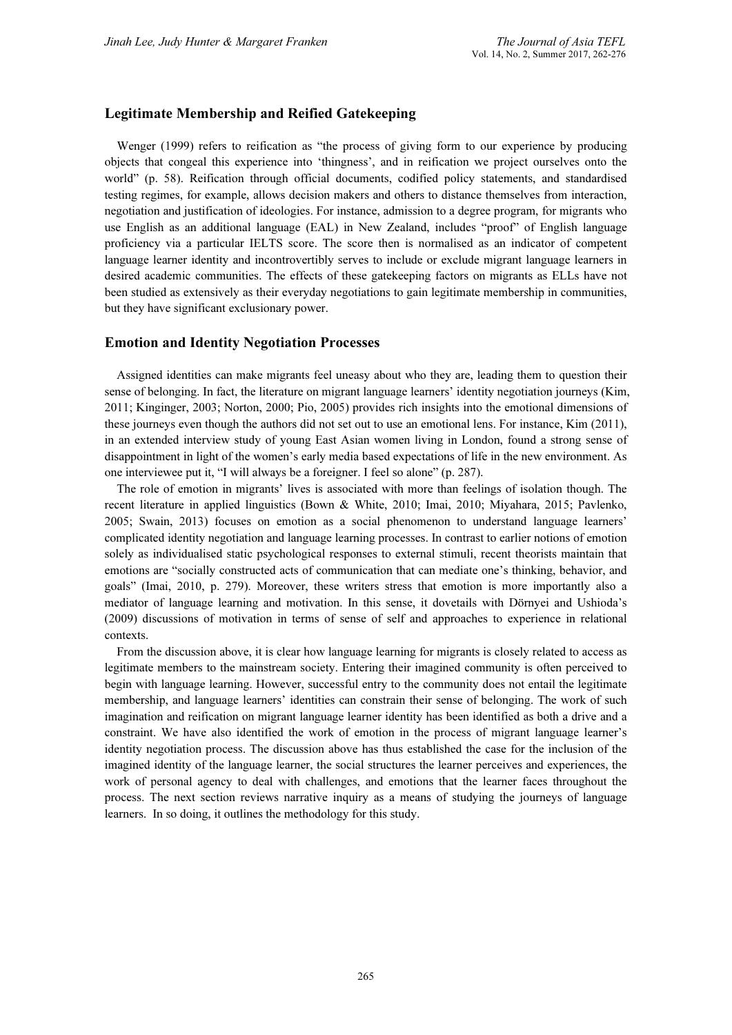# Legitimate Membership and Reified Gatekeeping

Wenger (1999) refers to reification as "the process of giving form to our experience by producing objects that congeal this experience into 'thingness', and in reification we project ourselves onto the world" (p. 58). Reification through official documents, codified policy statements, and standardised testing regimes, for example, allows decision makers and others to distance themselves from interaction, negotiation and justification of ideologies. For instance, admission to a degree program, for migrants who use English as an additional language (EAL) in New Zealand, includes "proof" of English language proficiency via a particular IELTS score. The score then is normalised as an indicator of competent language learner identity and incontrovertibly serves to include or exclude migrant language learners in desired academic communities. The effects of these gatekeeping factors on migrants as ELLs have not been studied as extensively as their everyday negotiations to gain legitimate membership in communities, but they have significant exclusionary power.

# Emotion and Identity Negotiation Processes

Assigned identities can make migrants feel uneasy about who they are, leading them to question their sense of belonging. In fact, the literature on migrant language learners' identity negotiation journeys (Kim, 2011; Kinginger, 2003; Norton, 2000; Pio, 2005) provides rich insights into the emotional dimensions of these journeys even though the authors did not set out to use an emotional lens. For instance, Kim (2011), in an extended interview study of young East Asian women living in London, found a strong sense of disappointment in light of the women's early media based expectations of life in the new environment. As one interviewee put it, "I will always be a foreigner. I feel so alone" (p. 287).

The role of emotion in migrants' lives is associated with more than feelings of isolation though. The recent literature in applied linguistics (Bown & White, 2010; Imai, 2010; Miyahara, 2015; Pavlenko, 2005; Swain, 2013) focuses on emotion as a social phenomenon to understand language learners' complicated identity negotiation and language learning processes. In contrast to earlier notions of emotion solely as individualised static psychological responses to external stimuli, recent theorists maintain that emotions are "socially constructed acts of communication that can mediate one's thinking, behavior, and goals" (Imai, 2010, p. 279). Moreover, these writers stress that emotion is more importantly also a mediator of language learning and motivation. In this sense, it dovetails with Dörnyei and Ushioda's (2009) discussions of motivation in terms of sense of self and approaches to experience in relational contexts.

From the discussion above, it is clear how language learning for migrants is closely related to access as legitimate members to the mainstream society. Entering their imagined community is often perceived to begin with language learning. However, successful entry to the community does not entail the legitimate membership, and language learners' identities can constrain their sense of belonging. The work of such imagination and reification on migrant language learner identity has been identified as both a drive and a constraint. We have also identified the work of emotion in the process of migrant language learner's identity negotiation process. The discussion above has thus established the case for the inclusion of the imagined identity of the language learner, the social structures the learner perceives and experiences, the work of personal agency to deal with challenges, and emotions that the learner faces throughout the process. The next section reviews narrative inquiry as a means of studying the journeys of language learners. In so doing, it outlines the methodology for this study.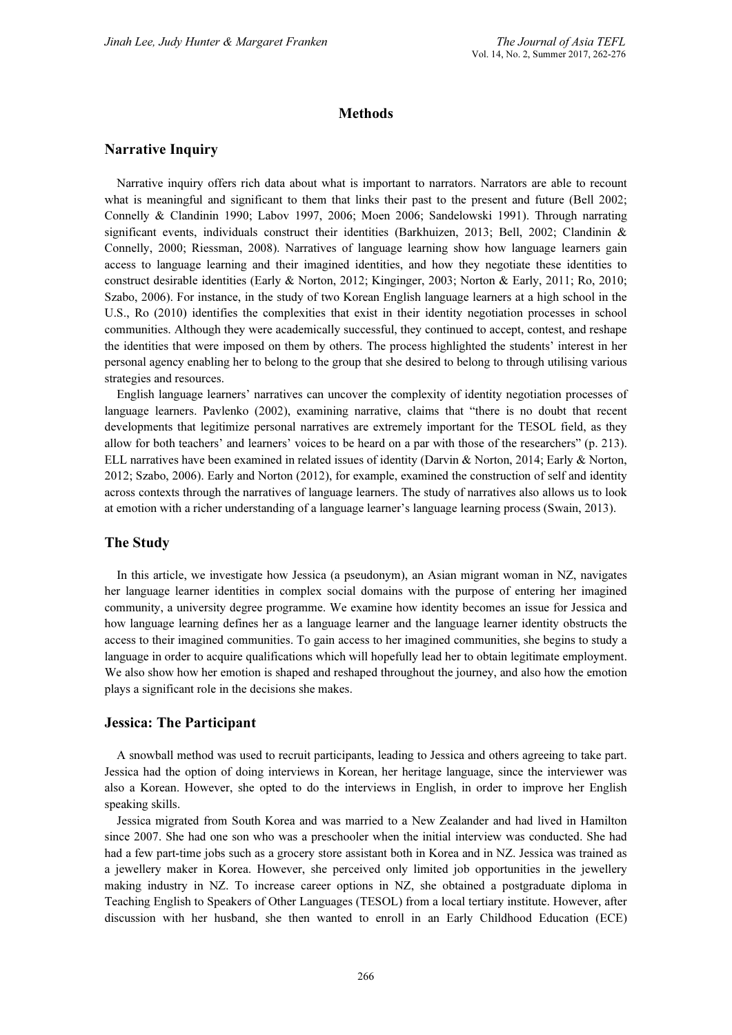# **Methods**

### Narrative Inquiry

Narrative inquiry offers rich data about what is important to narrators. Narrators are able to recount what is meaningful and significant to them that links their past to the present and future (Bell 2002; Connelly & Clandinin 1990; Labov 1997, 2006; Moen 2006; Sandelowski 1991). Through narrating significant events, individuals construct their identities (Barkhuizen, 2013; Bell, 2002; Clandinin & Connelly, 2000; Riessman, 2008). Narratives of language learning show how language learners gain access to language learning and their imagined identities, and how they negotiate these identities to construct desirable identities (Early & Norton, 2012; Kinginger, 2003; Norton & Early, 2011; Ro, 2010; Szabo, 2006). For instance, in the study of two Korean English language learners at a high school in the U.S., Ro (2010) identifies the complexities that exist in their identity negotiation processes in school communities. Although they were academically successful, they continued to accept, contest, and reshape the identities that were imposed on them by others. The process highlighted the students' interest in her personal agency enabling her to belong to the group that she desired to belong to through utilising various strategies and resources.

English language learners' narratives can uncover the complexity of identity negotiation processes of language learners. Pavlenko (2002), examining narrative, claims that "there is no doubt that recent developments that legitimize personal narratives are extremely important for the TESOL field, as they allow for both teachers' and learners' voices to be heard on a par with those of the researchers" (p. 213). ELL narratives have been examined in related issues of identity (Darvin & Norton, 2014; Early & Norton, 2012; Szabo, 2006). Early and Norton (2012), for example, examined the construction of self and identity across contexts through the narratives of language learners. The study of narratives also allows us to look at emotion with a richer understanding of a language learner's language learning process (Swain, 2013).

#### The Study

In this article, we investigate how Jessica (a pseudonym), an Asian migrant woman in NZ, navigates her language learner identities in complex social domains with the purpose of entering her imagined community, a university degree programme. We examine how identity becomes an issue for Jessica and how language learning defines her as a language learner and the language learner identity obstructs the access to their imagined communities. To gain access to her imagined communities, she begins to study a language in order to acquire qualifications which will hopefully lead her to obtain legitimate employment. We also show how her emotion is shaped and reshaped throughout the journey, and also how the emotion plays a significant role in the decisions she makes.

#### Jessica: The Participant

A snowball method was used to recruit participants, leading to Jessica and others agreeing to take part. Jessica had the option of doing interviews in Korean, her heritage language, since the interviewer was also a Korean. However, she opted to do the interviews in English, in order to improve her English speaking skills.

Jessica migrated from South Korea and was married to a New Zealander and had lived in Hamilton since 2007. She had one son who was a preschooler when the initial interview was conducted. She had had a few part-time jobs such as a grocery store assistant both in Korea and in NZ. Jessica was trained as a jewellery maker in Korea. However, she perceived only limited job opportunities in the jewellery making industry in NZ. To increase career options in NZ, she obtained a postgraduate diploma in Teaching English to Speakers of Other Languages (TESOL) from a local tertiary institute. However, after discussion with her husband, she then wanted to enroll in an Early Childhood Education (ECE)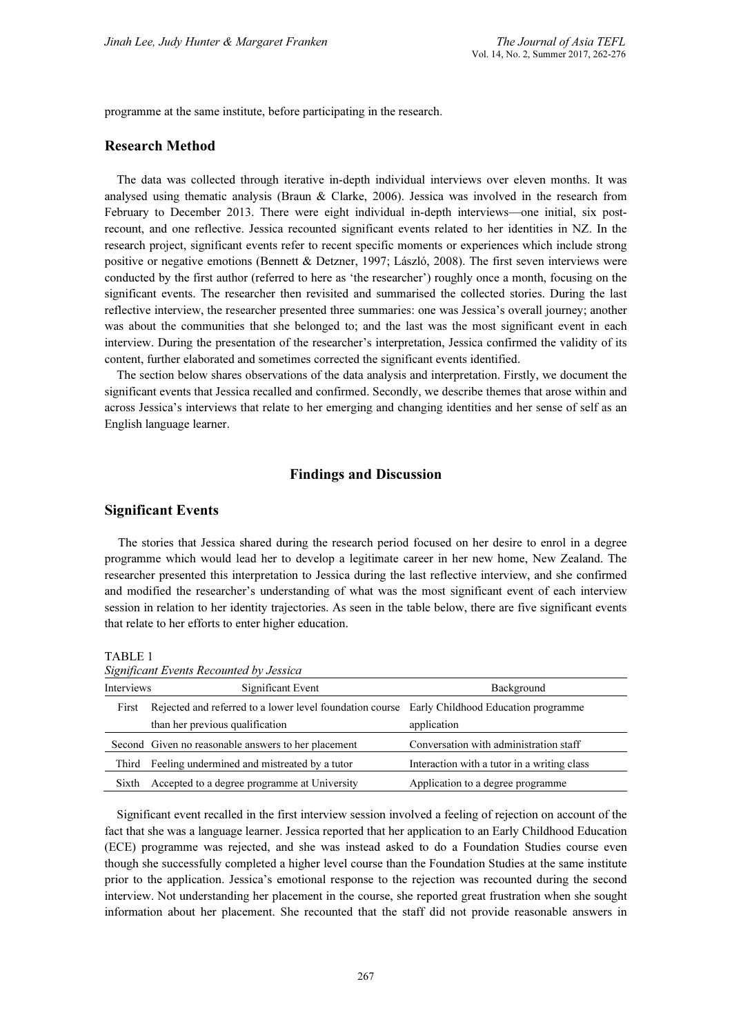programme at the same institute, before participating in the research.

### Research Method

The data was collected through iterative in-depth individual interviews over eleven months. It was analysed using thematic analysis (Braun & Clarke, 2006). Jessica was involved in the research from February to December 2013. There were eight individual in-depth interviews—one initial, six postrecount, and one reflective. Jessica recounted significant events related to her identities in NZ. In the research project, significant events refer to recent specific moments or experiences which include strong positive or negative emotions (Bennett & Detzner, 1997; László, 2008). The first seven interviews were conducted by the first author (referred to here as 'the researcher') roughly once a month, focusing on the significant events. The researcher then revisited and summarised the collected stories. During the last reflective interview, the researcher presented three summaries: one was Jessica's overall journey; another was about the communities that she belonged to; and the last was the most significant event in each interview. During the presentation of the researcher's interpretation, Jessica confirmed the validity of its content, further elaborated and sometimes corrected the significant events identified.

The section below shares observations of the data analysis and interpretation. Firstly, we document the significant events that Jessica recalled and confirmed. Secondly, we describe themes that arose within and across Jessica's interviews that relate to her emerging and changing identities and her sense of self as an English language learner.

#### Findings and Discussion

#### Significant Events

 The stories that Jessica shared during the research period focused on her desire to enrol in a degree programme which would lead her to develop a legitimate career in her new home, New Zealand. The researcher presented this interpretation to Jessica during the last reflective interview, and she confirmed and modified the researcher's understanding of what was the most significant event of each interview session in relation to her identity trajectories. As seen in the table below, there are five significant events that relate to her efforts to enter higher education.

TABLE 1

| Significant Events Recounted by Jessica |                                                                                              |                                             |
|-----------------------------------------|----------------------------------------------------------------------------------------------|---------------------------------------------|
| Interviews                              | Significant Event                                                                            | Background                                  |
| First                                   | Rejected and referred to a lower level foundation course Early Childhood Education programme |                                             |
|                                         | than her previous qualification                                                              | application                                 |
|                                         | Second Given no reasonable answers to her placement                                          | Conversation with administration staff      |
| Third                                   | Feeling undermined and mistreated by a tutor                                                 | Interaction with a tutor in a writing class |
|                                         |                                                                                              |                                             |

Sixth Accepted to a degree programme at University Application to a degree programme

Significant event recalled in the first interview session involved a feeling of rejection on account of the fact that she was a language learner. Jessica reported that her application to an Early Childhood Education (ECE) programme was rejected, and she was instead asked to do a Foundation Studies course even though she successfully completed a higher level course than the Foundation Studies at the same institute prior to the application. Jessica's emotional response to the rejection was recounted during the second interview. Not understanding her placement in the course, she reported great frustration when she sought information about her placement. She recounted that the staff did not provide reasonable answers in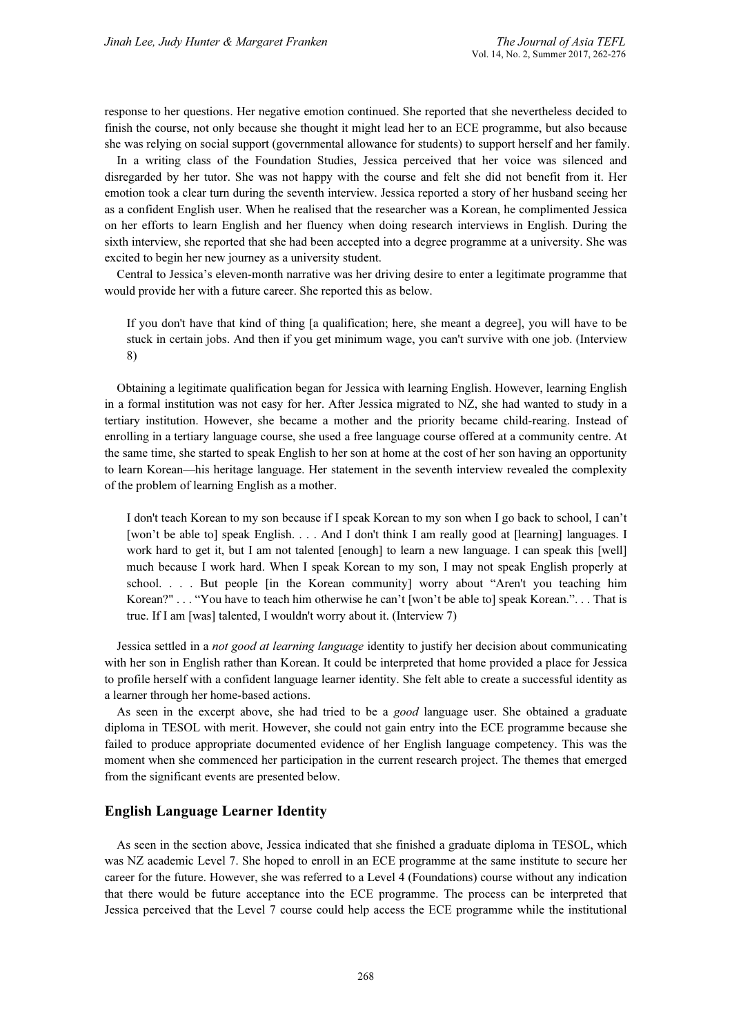response to her questions. Her negative emotion continued. She reported that she nevertheless decided to finish the course, not only because she thought it might lead her to an ECE programme, but also because she was relying on social support (governmental allowance for students) to support herself and her family.

In a writing class of the Foundation Studies, Jessica perceived that her voice was silenced and disregarded by her tutor. She was not happy with the course and felt she did not benefit from it. Her emotion took a clear turn during the seventh interview. Jessica reported a story of her husband seeing her as a confident English user. When he realised that the researcher was a Korean, he complimented Jessica on her efforts to learn English and her fluency when doing research interviews in English. During the sixth interview, she reported that she had been accepted into a degree programme at a university. She was excited to begin her new journey as a university student.

Central to Jessica's eleven-month narrative was her driving desire to enter a legitimate programme that would provide her with a future career. She reported this as below.

If you don't have that kind of thing [a qualification; here, she meant a degree], you will have to be stuck in certain jobs. And then if you get minimum wage, you can't survive with one job. (Interview 8)

Obtaining a legitimate qualification began for Jessica with learning English. However, learning English in a formal institution was not easy for her. After Jessica migrated to NZ, she had wanted to study in a tertiary institution. However, she became a mother and the priority became child-rearing. Instead of enrolling in a tertiary language course, she used a free language course offered at a community centre. At the same time, she started to speak English to her son at home at the cost of her son having an opportunity to learn Korean—his heritage language. Her statement in the seventh interview revealed the complexity of the problem of learning English as a mother.

I don't teach Korean to my son because if I speak Korean to my son when I go back to school, I can't [won't be able to] speak English. . . . And I don't think I am really good at [learning] languages. I work hard to get it, but I am not talented [enough] to learn a new language. I can speak this [well] much because I work hard. When I speak Korean to my son, I may not speak English properly at school. . . . But people [in the Korean community] worry about "Aren't you teaching him Korean?" . . . "You have to teach him otherwise he can't [won't be able to] speak Korean.". . . That is true. If I am [was] talented, I wouldn't worry about it. (Interview 7)

Jessica settled in a not good at learning language identity to justify her decision about communicating with her son in English rather than Korean. It could be interpreted that home provided a place for Jessica to profile herself with a confident language learner identity. She felt able to create a successful identity as a learner through her home-based actions.

As seen in the excerpt above, she had tried to be a *good* language user. She obtained a graduate diploma in TESOL with merit. However, she could not gain entry into the ECE programme because she failed to produce appropriate documented evidence of her English language competency. This was the moment when she commenced her participation in the current research project. The themes that emerged from the significant events are presented below.

# English Language Learner Identity

As seen in the section above, Jessica indicated that she finished a graduate diploma in TESOL, which was NZ academic Level 7. She hoped to enroll in an ECE programme at the same institute to secure her career for the future. However, she was referred to a Level 4 (Foundations) course without any indication that there would be future acceptance into the ECE programme. The process can be interpreted that Jessica perceived that the Level 7 course could help access the ECE programme while the institutional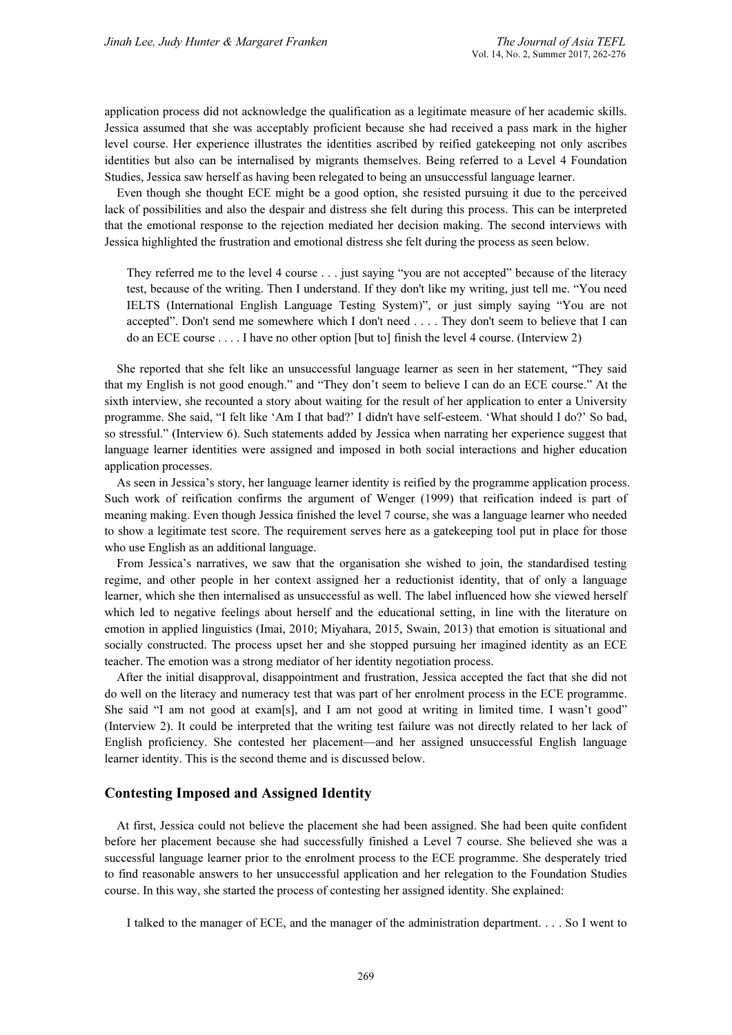application process did not acknowledge the qualification as a legitimate measure of her academic skills. Jessica assumed that she was acceptably proficient because she had received a pass mark in the higher level course. Her experience illustrates the identities ascribed by reified gatekeeping not only ascribes identities but also can be internalised by migrants themselves. Being referred to a Level 4 Foundation Studies, Jessica saw herself as having been relegated to being an unsuccessful language learner.

Even though she thought ECE might be a good option, she resisted pursuing it due to the perceived lack of possibilities and also the despair and distress she felt during this process. This can be interpreted that the emotional response to the rejection mediated her decision making. The second interviews with Jessica highlighted the frustration and emotional distress she felt during the process as seen below.

They referred me to the level 4 course . . . just saying "you are not accepted" because of the literacy test, because of the writing. Then I understand. If they don't like my writing, just tell me. "You need IELTS (International English Language Testing System)", or just simply saying "You are not accepted". Don't send me somewhere which I don't need . . . . They don't seem to believe that I can do an ECE course . . . . I have no other option [but to] finish the level 4 course. (Interview 2)

She reported that she felt like an unsuccessful language learner as seen in her statement, "They said that my English is not good enough." and "They don't seem to believe I can do an ECE course." At the sixth interview, she recounted a story about waiting for the result of her application to enter a University programme. She said, "I felt like 'Am I that bad?' I didn't have self-esteem. 'What should I do?' So bad, so stressful." (Interview 6). Such statements added by Jessica when narrating her experience suggest that language learner identities were assigned and imposed in both social interactions and higher education application processes.

As seen in Jessica's story, her language learner identity is reified by the programme application process. Such work of reification confirms the argument of Wenger (1999) that reification indeed is part of meaning making. Even though Jessica finished the level 7 course, she was a language learner who needed to show a legitimate test score. The requirement serves here as a gatekeeping tool put in place for those who use English as an additional language.

From Jessica's narratives, we saw that the organisation she wished to join, the standardised testing regime, and other people in her context assigned her a reductionist identity, that of only a language learner, which she then internalised as unsuccessful as well. The label influenced how she viewed herself which led to negative feelings about herself and the educational setting, in line with the literature on emotion in applied linguistics (Imai, 2010; Miyahara, 2015, Swain, 2013) that emotion is situational and socially constructed. The process upset her and she stopped pursuing her imagined identity as an ECE teacher. The emotion was a strong mediator of her identity negotiation process.

After the initial disapproval, disappointment and frustration, Jessica accepted the fact that she did not do well on the literacy and numeracy test that was part of her enrolment process in the ECE programme. She said "I am not good at exam[s], and I am not good at writing in limited time. I wasn't good" (Interview 2). It could be interpreted that the writing test failure was not directly related to her lack of English proficiency. She contested her placement—and her assigned unsuccessful English language learner identity. This is the second theme and is discussed below.

### Contesting Imposed and Assigned Identity

At first, Jessica could not believe the placement she had been assigned. She had been quite confident before her placement because she had successfully finished a Level 7 course. She believed she was a successful language learner prior to the enrolment process to the ECE programme. She desperately tried to find reasonable answers to her unsuccessful application and her relegation to the Foundation Studies course. In this way, she started the process of contesting her assigned identity. She explained:

I talked to the manager of ECE, and the manager of the administration department. . . . So I went to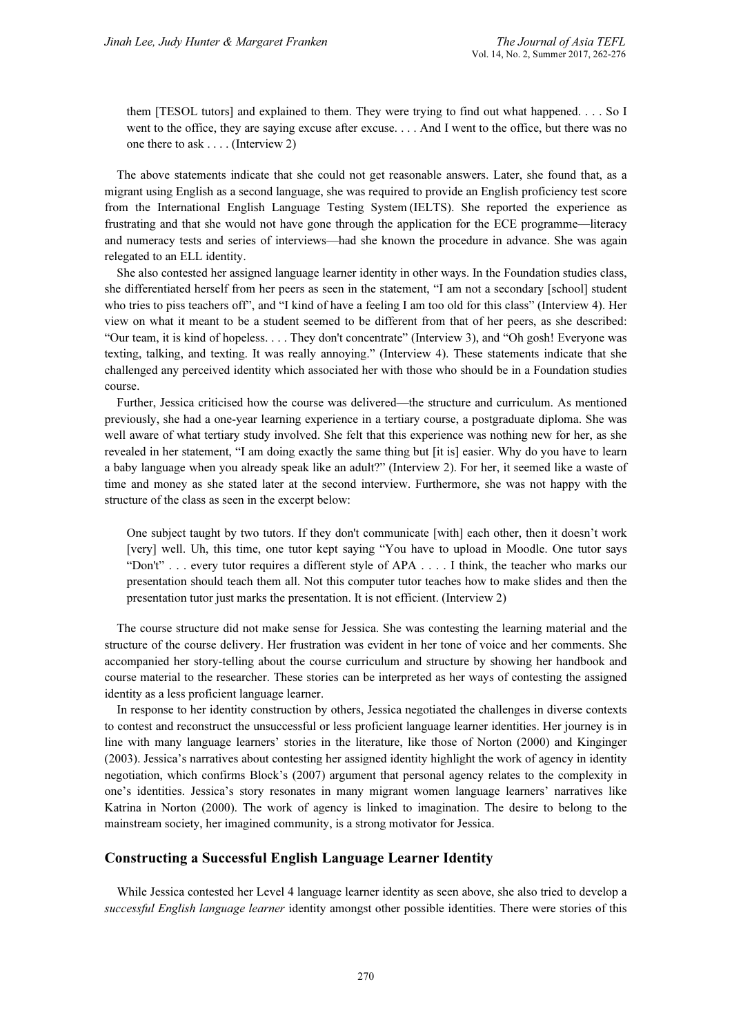them [TESOL tutors] and explained to them. They were trying to find out what happened. . . . So I went to the office, they are saying excuse after excuse. . . . And I went to the office, but there was no one there to ask . . . . (Interview 2)

The above statements indicate that she could not get reasonable answers. Later, she found that, as a migrant using English as a second language, she was required to provide an English proficiency test score from the International English Language Testing System (IELTS). She reported the experience as frustrating and that she would not have gone through the application for the ECE programme—literacy and numeracy tests and series of interviews—had she known the procedure in advance. She was again relegated to an ELL identity.

She also contested her assigned language learner identity in other ways. In the Foundation studies class, she differentiated herself from her peers as seen in the statement, "I am not a secondary [school] student who tries to piss teachers off", and "I kind of have a feeling I am too old for this class" (Interview 4). Her view on what it meant to be a student seemed to be different from that of her peers, as she described: "Our team, it is kind of hopeless. . . . They don't concentrate" (Interview 3), and "Oh gosh! Everyone was texting, talking, and texting. It was really annoying." (Interview 4). These statements indicate that she challenged any perceived identity which associated her with those who should be in a Foundation studies course.

Further, Jessica criticised how the course was delivered—the structure and curriculum. As mentioned previously, she had a one-year learning experience in a tertiary course, a postgraduate diploma. She was well aware of what tertiary study involved. She felt that this experience was nothing new for her, as she revealed in her statement. "I am doing exactly the same thing but [it is] easier. Why do you have to learn a baby language when you already speak like an adult?" (Interview 2). For her, it seemed like a waste of time and money as she stated later at the second interview. Furthermore, she was not happy with the structure of the class as seen in the excerpt below:

One subject taught by two tutors. If they don't communicate [with] each other, then it doesn't work [very] well. Uh, this time, one tutor kept saying "You have to upload in Moodle. One tutor says "Don't" . . . every tutor requires a different style of APA . . . . I think, the teacher who marks our presentation should teach them all. Not this computer tutor teaches how to make slides and then the presentation tutor just marks the presentation. It is not efficient. (Interview 2)

The course structure did not make sense for Jessica. She was contesting the learning material and the structure of the course delivery. Her frustration was evident in her tone of voice and her comments. She accompanied her story-telling about the course curriculum and structure by showing her handbook and course material to the researcher. These stories can be interpreted as her ways of contesting the assigned identity as a less proficient language learner.

In response to her identity construction by others, Jessica negotiated the challenges in diverse contexts to contest and reconstruct the unsuccessful or less proficient language learner identities. Her journey is in line with many language learners' stories in the literature, like those of Norton (2000) and Kinginger (2003). Jessica's narratives about contesting her assigned identity highlight the work of agency in identity negotiation, which confirms Block's (2007) argument that personal agency relates to the complexity in one's identities. Jessica's story resonates in many migrant women language learners' narratives like Katrina in Norton (2000). The work of agency is linked to imagination. The desire to belong to the mainstream society, her imagined community, is a strong motivator for Jessica.

# Constructing a Successful English Language Learner Identity

While Jessica contested her Level 4 language learner identity as seen above, she also tried to develop a successful English language learner identity amongst other possible identities. There were stories of this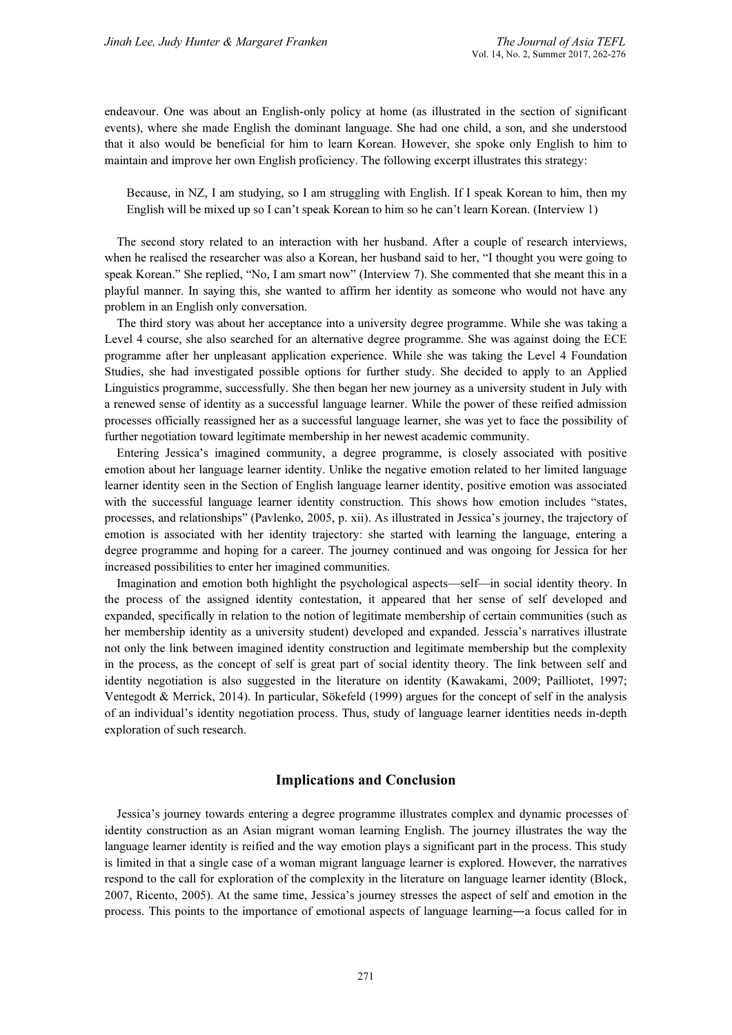endeavour. One was about an English-only policy at home (as illustrated in the section of significant events), where she made English the dominant language. She had one child, a son, and she understood that it also would be beneficial for him to learn Korean. However, she spoke only English to him to maintain and improve her own English proficiency. The following excerpt illustrates this strategy:

Because, in NZ, I am studying, so I am struggling with English. If I speak Korean to him, then my English will be mixed up so I can't speak Korean to him so he can't learn Korean. (Interview 1)

The second story related to an interaction with her husband. After a couple of research interviews, when he realised the researcher was also a Korean, her husband said to her, "I thought you were going to speak Korean." She replied, "No, I am smart now" (Interview 7). She commented that she meant this in a playful manner. In saying this, she wanted to affirm her identity as someone who would not have any problem in an English only conversation.

The third story was about her acceptance into a university degree programme. While she was taking a Level 4 course, she also searched for an alternative degree programme. She was against doing the ECE programme after her unpleasant application experience. While she was taking the Level 4 Foundation Studies, she had investigated possible options for further study. She decided to apply to an Applied Linguistics programme, successfully. She then began her new journey as a university student in July with a renewed sense of identity as a successful language learner. While the power of these reified admission processes officially reassigned her as a successful language learner, she was yet to face the possibility of further negotiation toward legitimate membership in her newest academic community.

Entering Jessica's imagined community, a degree programme, is closely associated with positive emotion about her language learner identity. Unlike the negative emotion related to her limited language learner identity seen in the Section of English language learner identity, positive emotion was associated with the successful language learner identity construction. This shows how emotion includes "states, processes, and relationships" (Pavlenko, 2005, p. xii). As illustrated in Jessica's journey, the trajectory of emotion is associated with her identity trajectory: she started with learning the language, entering a degree programme and hoping for a career. The journey continued and was ongoing for Jessica for her increased possibilities to enter her imagined communities.

Imagination and emotion both highlight the psychological aspects—self—in social identity theory. In the process of the assigned identity contestation, it appeared that her sense of self developed and expanded, specifically in relation to the notion of legitimate membership of certain communities (such as her membership identity as a university student) developed and expanded. Jesscia's narratives illustrate not only the link between imagined identity construction and legitimate membership but the complexity in the process, as the concept of self is great part of social identity theory. The link between self and identity negotiation is also suggested in the literature on identity (Kawakami, 2009; Pailliotet, 1997; Ventegodt & Merrick, 2014). In particular, Sökefeld (1999) argues for the concept of self in the analysis of an individual's identity negotiation process. Thus, study of language learner identities needs in-depth exploration of such research.

# Implications and Conclusion

Jessica's journey towards entering a degree programme illustrates complex and dynamic processes of identity construction as an Asian migrant woman learning English. The journey illustrates the way the language learner identity is reified and the way emotion plays a significant part in the process. This study is limited in that a single case of a woman migrant language learner is explored. However, the narratives respond to the call for exploration of the complexity in the literature on language learner identity (Block, 2007, Ricento, 2005). At the same time, Jessica's journey stresses the aspect of self and emotion in the process. This points to the importance of emotional aspects of language learning―a focus called for in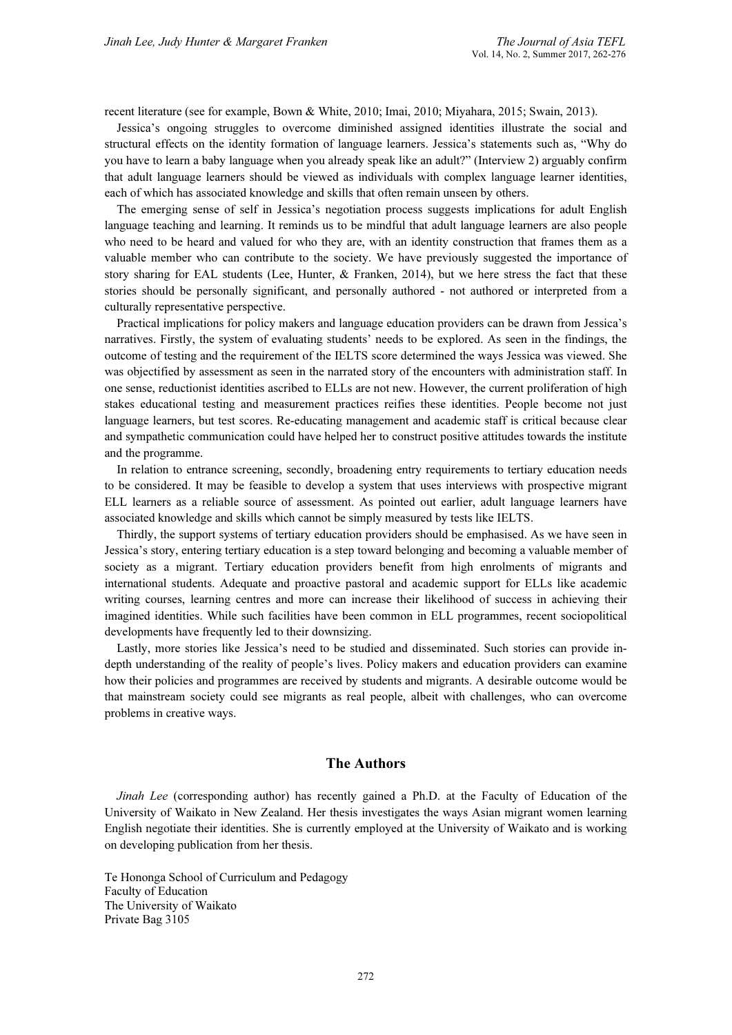recent literature (see for example, Bown & White, 2010; Imai, 2010; Miyahara, 2015; Swain, 2013).

Jessica's ongoing struggles to overcome diminished assigned identities illustrate the social and structural effects on the identity formation of language learners. Jessica's statements such as, "Why do you have to learn a baby language when you already speak like an adult?" (Interview 2) arguably confirm that adult language learners should be viewed as individuals with complex language learner identities, each of which has associated knowledge and skills that often remain unseen by others.

The emerging sense of self in Jessica's negotiation process suggests implications for adult English language teaching and learning. It reminds us to be mindful that adult language learners are also people who need to be heard and valued for who they are, with an identity construction that frames them as a valuable member who can contribute to the society. We have previously suggested the importance of story sharing for EAL students (Lee, Hunter, & Franken, 2014), but we here stress the fact that these stories should be personally significant, and personally authored - not authored or interpreted from a culturally representative perspective.

Practical implications for policy makers and language education providers can be drawn from Jessica's narratives. Firstly, the system of evaluating students' needs to be explored. As seen in the findings, the outcome of testing and the requirement of the IELTS score determined the ways Jessica was viewed. She was objectified by assessment as seen in the narrated story of the encounters with administration staff. In one sense, reductionist identities ascribed to ELLs are not new. However, the current proliferation of high stakes educational testing and measurement practices reifies these identities. People become not just language learners, but test scores. Re-educating management and academic staff is critical because clear and sympathetic communication could have helped her to construct positive attitudes towards the institute and the programme.

In relation to entrance screening, secondly, broadening entry requirements to tertiary education needs to be considered. It may be feasible to develop a system that uses interviews with prospective migrant ELL learners as a reliable source of assessment. As pointed out earlier, adult language learners have associated knowledge and skills which cannot be simply measured by tests like IELTS.

Thirdly, the support systems of tertiary education providers should be emphasised. As we have seen in Jessica's story, entering tertiary education is a step toward belonging and becoming a valuable member of society as a migrant. Tertiary education providers benefit from high enrolments of migrants and international students. Adequate and proactive pastoral and academic support for ELLs like academic writing courses, learning centres and more can increase their likelihood of success in achieving their imagined identities. While such facilities have been common in ELL programmes, recent sociopolitical developments have frequently led to their downsizing.

Lastly, more stories like Jessica's need to be studied and disseminated. Such stories can provide indepth understanding of the reality of people's lives. Policy makers and education providers can examine how their policies and programmes are received by students and migrants. A desirable outcome would be that mainstream society could see migrants as real people, albeit with challenges, who can overcome problems in creative ways.

# The Authors

Jinah Lee (corresponding author) has recently gained a Ph.D. at the Faculty of Education of the University of Waikato in New Zealand. Her thesis investigates the ways Asian migrant women learning English negotiate their identities. She is currently employed at the University of Waikato and is working on developing publication from her thesis.

Te Hononga School of Curriculum and Pedagogy Faculty of Education The University of Waikato Private Bag 3105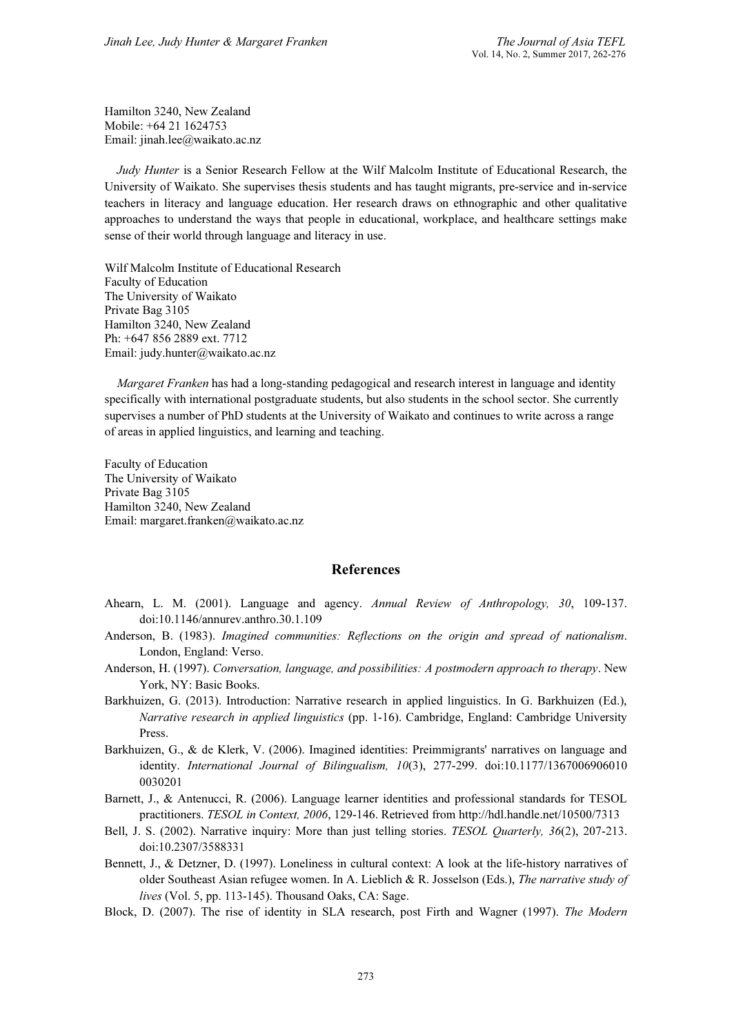Hamilton 3240, New Zealand Mobile: +64 21 1624753 Email: jinah.lee@waikato.ac.nz

Judy Hunter is a Senior Research Fellow at the Wilf Malcolm Institute of Educational Research, the University of Waikato. She supervises thesis students and has taught migrants, pre-service and in-service teachers in literacy and language education. Her research draws on ethnographic and other qualitative approaches to understand the ways that people in educational, workplace, and healthcare settings make sense of their world through language and literacy in use.

Wilf Malcolm Institute of Educational Research Faculty of Education The University of Waikato Private Bag 3105 Hamilton 3240, New Zealand Ph: +647 856 2889 ext. 7712 Email: judy.hunter@waikato.ac.nz

Margaret Franken has had a long-standing pedagogical and research interest in language and identity specifically with international postgraduate students, but also students in the school sector. She currently supervises a number of PhD students at the University of Waikato and continues to write across a range of areas in applied linguistics, and learning and teaching.

Faculty of Education The University of Waikato Private Bag 3105 Hamilton 3240, New Zealand Email: margaret.franken@waikato.ac.nz

# References

- Ahearn, L. M. (2001). Language and agency. Annual Review of Anthropology, 30, 109-137. doi:10.1146/annurev.anthro.30.1.109
- Anderson, B. (1983). Imagined communities: Reflections on the origin and spread of nationalism. London, England: Verso.
- Anderson, H. (1997). Conversation, language, and possibilities: A postmodern approach to therapy. New York, NY: Basic Books.
- Barkhuizen, G. (2013). Introduction: Narrative research in applied linguistics. In G. Barkhuizen (Ed.), Narrative research in applied linguistics (pp. 1-16). Cambridge, England: Cambridge University Press.
- Barkhuizen, G., & de Klerk, V. (2006). Imagined identities: Preimmigrants' narratives on language and identity. International Journal of Bilingualism, 10(3), 277-299. doi:10.1177/1367006906010 0030201
- Barnett, J., & Antenucci, R. (2006). Language learner identities and professional standards for TESOL practitioners. TESOL in Context, 2006, 129-146. Retrieved from http://hdl.handle.net/10500/7313
- Bell, J. S. (2002). Narrative inquiry: More than just telling stories. TESOL Quarterly, 36(2), 207-213. doi:10.2307/3588331
- Bennett, J., & Detzner, D. (1997). Loneliness in cultural context: A look at the life-history narratives of older Southeast Asian refugee women. In A. Lieblich & R. Josselson (Eds.), The narrative study of lives (Vol. 5, pp. 113-145). Thousand Oaks, CA: Sage.
- Block, D. (2007). The rise of identity in SLA research, post Firth and Wagner (1997). The Modern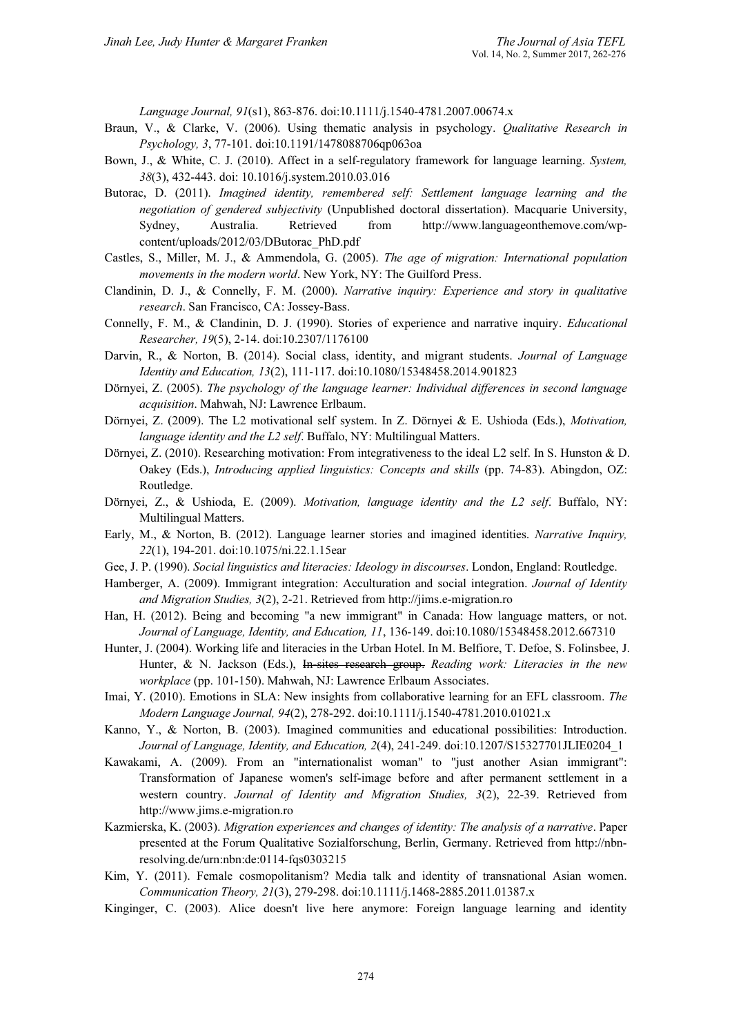Language Journal, 91(s1), 863-876. doi:10.1111/j.1540-4781.2007.00674.x

- Braun, V., & Clarke, V. (2006). Using thematic analysis in psychology. Qualitative Research in Psychology, 3, 77-101. doi:10.1191/1478088706qp063oa
- Bown, J., & White, C. J. (2010). Affect in a self-regulatory framework for language learning. System, 38(3), 432-443. doi: 10.1016/j.system.2010.03.016
- Butorac, D. (2011). Imagined identity, remembered self: Settlement language learning and the negotiation of gendered subjectivity (Unpublished doctoral dissertation). Macquarie University, Sydney, Australia. Retrieved from http://www.languageonthemove.com/wpcontent/uploads/2012/03/DButorac\_PhD.pdf
- Castles, S., Miller, M. J., & Ammendola, G. (2005). The age of migration: International population movements in the modern world. New York, NY: The Guilford Press.
- Clandinin, D. J., & Connelly, F. M. (2000). Narrative inquiry: Experience and story in qualitative research. San Francisco, CA: Jossey-Bass.
- Connelly, F. M., & Clandinin, D. J. (1990). Stories of experience and narrative inquiry. Educational Researcher, 19(5), 2-14. doi:10.2307/1176100
- Darvin, R., & Norton, B. (2014). Social class, identity, and migrant students. Journal of Language Identity and Education, 13(2), 111-117. doi:10.1080/15348458.2014.901823
- Dörnyei, Z. (2005). The psychology of the language learner: Individual differences in second language acquisition. Mahwah, NJ: Lawrence Erlbaum.
- Dörnyei, Z. (2009). The L2 motivational self system. In Z. Dörnyei & E. Ushioda (Eds.), Motivation, language identity and the L2 self. Buffalo, NY: Multilingual Matters.
- Dörnyei, Z. (2010). Researching motivation: From integrativeness to the ideal L2 self. In S. Hunston & D. Oakey (Eds.), Introducing applied linguistics: Concepts and skills (pp. 74-83). Abingdon, OZ: Routledge.
- Dörnyei, Z., & Ushioda, E. (2009). Motivation, language identity and the L2 self. Buffalo, NY: Multilingual Matters.
- Early, M., & Norton, B. (2012). Language learner stories and imagined identities. Narrative Inquiry, 22(1), 194-201. doi:10.1075/ni.22.1.15ear
- Gee, J. P. (1990). Social linguistics and literacies: Ideology in discourses. London, England: Routledge.
- Hamberger, A. (2009). Immigrant integration: Acculturation and social integration. Journal of Identity and Migration Studies, 3(2), 2-21. Retrieved from http://jims.e-migration.ro
- Han, H. (2012). Being and becoming "a new immigrant" in Canada: How language matters, or not. Journal of Language, Identity, and Education, 11, 136-149. doi:10.1080/15348458.2012.667310
- Hunter, J. (2004). Working life and literacies in the Urban Hotel. In M. Belfiore, T. Defoe, S. Folinsbee, J. Hunter, & N. Jackson (Eds.), In-sites research group. Reading work: Literacies in the new workplace (pp. 101-150). Mahwah, NJ: Lawrence Erlbaum Associates.
- Imai, Y. (2010). Emotions in SLA: New insights from collaborative learning for an EFL classroom. The Modern Language Journal, 94(2), 278-292. doi:10.1111/j.1540-4781.2010.01021.x
- Kanno, Y., & Norton, B. (2003). Imagined communities and educational possibilities: Introduction. Journal of Language, Identity, and Education, 2(4), 241-249. doi:10.1207/S15327701JLIE0204\_1
- Kawakami, A. (2009). From an "internationalist woman" to "just another Asian immigrant": Transformation of Japanese women's self-image before and after permanent settlement in a western country. Journal of Identity and Migration Studies, 3(2), 22-39. Retrieved from http://www.jims.e-migration.ro
- Kazmierska, K. (2003). Migration experiences and changes of identity: The analysis of a narrative. Paper presented at the Forum Qualitative Sozialforschung, Berlin, Germany. Retrieved from http://nbnresolving.de/urn:nbn:de:0114-fqs0303215
- Kim, Y. (2011). Female cosmopolitanism? Media talk and identity of transnational Asian women. Communication Theory, 21(3), 279-298. doi:10.1111/j.1468-2885.2011.01387.x
- Kinginger, C. (2003). Alice doesn't live here anymore: Foreign language learning and identity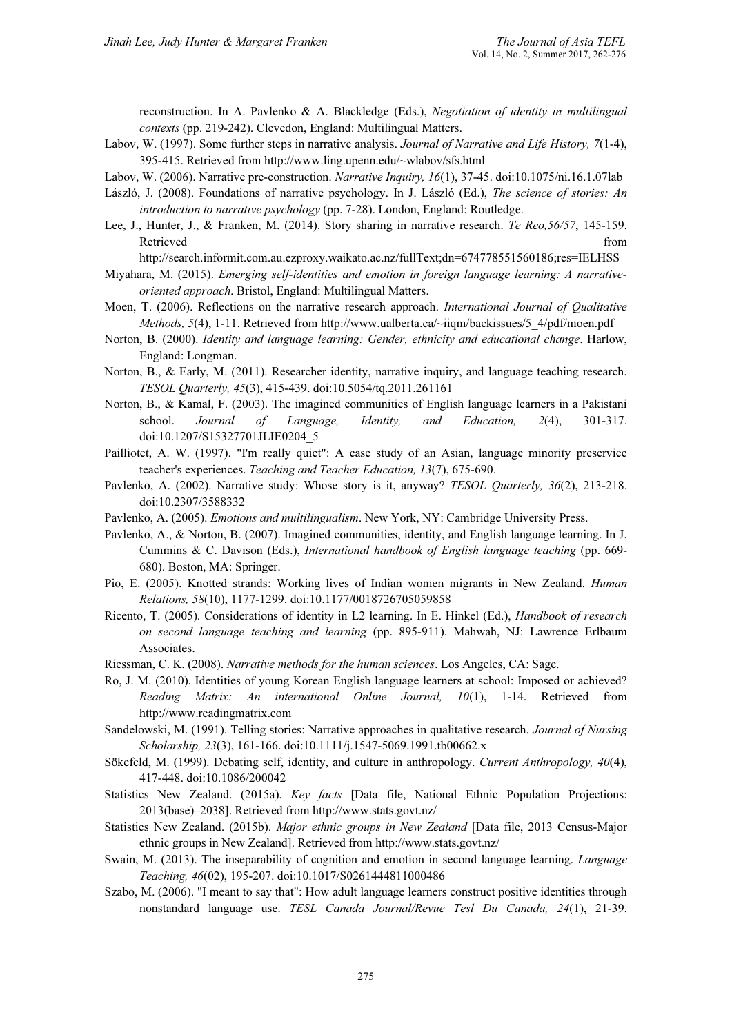reconstruction. In A. Pavlenko & A. Blackledge (Eds.), Negotiation of identity in multilingual contexts (pp. 219-242). Clevedon, England: Multilingual Matters.

- Labov, W. (1997). Some further steps in narrative analysis. Journal of Narrative and Life History, 7(1-4), 395-415. Retrieved from http://www.ling.upenn.edu/~wlabov/sfs.html
- Labov, W. (2006). Narrative pre-construction. Narrative Inquiry, 16(1), 37-45. doi:10.1075/ni.16.1.07lab
- László, J. (2008). Foundations of narrative psychology. In J. László (Ed.), The science of stories: An introduction to narrative psychology (pp. 7-28). London, England: Routledge.
- Lee, J., Hunter, J., & Franken, M. (2014). Story sharing in narrative research. Te Reo,56/57, 145-159. Retrieved from the state of the state of the state of the state of the state of the state of the state of the state of the state of the state of the state of the state of the state of the state of the state of the state of

http://search.informit.com.au.ezproxy.waikato.ac.nz/fullText;dn=674778551560186;res=IELHSS

- Miyahara, M. (2015). Emerging self-identities and emotion in foreign language learning: A narrativeoriented approach. Bristol, England: Multilingual Matters.
- Moen, T. (2006). Reflections on the narrative research approach. International Journal of Qualitative Methods, 5(4), 1-11. Retrieved from http://www.ualberta.ca/~iiqm/backissues/5\_4/pdf/moen.pdf
- Norton, B. (2000). Identity and language learning: Gender, ethnicity and educational change. Harlow, England: Longman.
- Norton, B., & Early, M. (2011). Researcher identity, narrative inquiry, and language teaching research. TESOL Quarterly, 45(3), 415-439. doi:10.5054/tq.2011.261161
- Norton, B., & Kamal, F. (2003). The imagined communities of English language learners in a Pakistani school. Journal of Language, Identity, and Education, 2(4), 301-317. doi:10.1207/S15327701JLIE0204\_5
- Pailliotet, A. W. (1997). "I'm really quiet": A case study of an Asian, language minority preservice teacher's experiences. Teaching and Teacher Education, 13(7), 675-690.
- Pavlenko, A. (2002). Narrative study: Whose story is it, anyway? TESOL Quarterly, 36(2), 213-218. doi:10.2307/3588332
- Pavlenko, A. (2005). Emotions and multilingualism. New York, NY: Cambridge University Press.
- Pavlenko, A., & Norton, B. (2007). Imagined communities, identity, and English language learning. In J. Cummins & C. Davison (Eds.), International handbook of English language teaching (pp. 669- 680). Boston, MA: Springer.
- Pio, E. (2005). Knotted strands: Working lives of Indian women migrants in New Zealand. Human Relations, 58(10), 1177-1299. doi:10.1177/0018726705059858
- Ricento, T. (2005). Considerations of identity in L2 learning. In E. Hinkel (Ed.), Handbook of research on second language teaching and learning (pp. 895-911). Mahwah, NJ: Lawrence Erlbaum Associates.
- Riessman, C. K. (2008). Narrative methods for the human sciences. Los Angeles, CA: Sage.
- Ro, J. M. (2010). Identities of young Korean English language learners at school: Imposed or achieved? Reading Matrix: An international Online Journal, 10(1), 1-14. Retrieved from http://www.readingmatrix.com
- Sandelowski, M. (1991). Telling stories: Narrative approaches in qualitative research. Journal of Nursing Scholarship, 23(3), 161-166. doi:10.1111/j.1547-5069.1991.tb00662.x
- Sökefeld, M. (1999). Debating self, identity, and culture in anthropology. Current Anthropology, 40(4), 417-448. doi:10.1086/200042
- Statistics New Zealand. (2015a). Key facts [Data file, National Ethnic Population Projections: 2013(base)–2038]. Retrieved from http://www.stats.govt.nz/
- Statistics New Zealand. (2015b). Major ethnic groups in New Zealand [Data file, 2013 Census-Major ethnic groups in New Zealand]. Retrieved from http://www.stats.govt.nz/
- Swain, M. (2013). The inseparability of cognition and emotion in second language learning. *Language* Teaching, 46(02), 195-207. doi:10.1017/S0261444811000486
- Szabo, M. (2006). "I meant to say that": How adult language learners construct positive identities through nonstandard language use. TESL Canada Journal/Revue Tesl Du Canada, 24(1), 21-39.